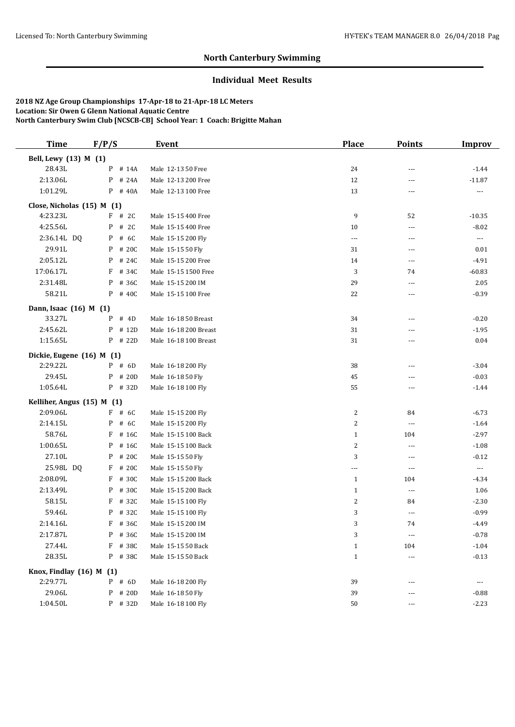# **North Canterbury Swimming**

# **Individual Meet Results**

**2018 NZ Age Group Championships 17-Apr-18 to 21-Apr-18 LC Meters Location: Sir Owen G Glenn National Aquatic Centre North Canterbury Swim Club [NCSCB-CB] School Year: 1 Coach: Brigitte Mahan**

| <b>Time</b>                | F/P/S     | <b>Event</b>          | <b>Place</b>   | <b>Points</b>            | <b>Improv</b>            |
|----------------------------|-----------|-----------------------|----------------|--------------------------|--------------------------|
| Bell, Lewy (13) M (1)      |           |                       |                |                          |                          |
| 28.43L                     | P # 14A   | Male 12-13 50 Free    | 24             | $\overline{a}$           | $-1.44$                  |
| 2:13.06L                   | P # 24A   | Male 12-13 200 Free   | 12             | $---$                    | $-11.87$                 |
| 1:01.29L                   | P # 40A   | Male 12-13 100 Free   | 13             | ---                      |                          |
| Close, Nicholas (15) M (1) |           |                       |                |                          |                          |
| 4:23.23L                   | $F$ # 2C  | Male 15-15 400 Free   | 9              | 52                       | $-10.35$                 |
| 4:25.56L                   | P # 2C    | Male 15-15 400 Free   | 10             | $\overline{a}$           | $-8.02$                  |
| 2:36.14L DQ                | $P$ # 6C  | Male 15-15 200 Fly    | ---            | $\overline{\phantom{a}}$ | $\scriptstyle\cdots$     |
| 29.91L                     | P # 20C   | Male 15-15 50 Fly     | 31             | $\overline{a}$           | 0.01                     |
| 2:05.12L                   | P # 24C   | Male 15-15 200 Free   | 14             | $\overline{a}$           | $-4.91$                  |
| 17:06.17L                  | F # 34C   | Male 15-15 1500 Free  | 3              | 74                       | $-60.83$                 |
| 2:31.48L                   | P # 36C   | Male 15-15 200 IM     | 29             | $---$                    | 2.05                     |
| 58.21L                     | P # 40C   | Male 15-15 100 Free   | 22             | $\overline{a}$           | $-0.39$                  |
| Dann, Isaac (16) M (1)     |           |                       |                |                          |                          |
| 33.27L                     | $P$ # 4D  | Male 16-18 50 Breast  | 34             | $\overline{a}$           | $-0.20$                  |
| 2:45.62L                   | P # 12D   | Male 16-18 200 Breast | 31             | ---                      | $-1.95$                  |
| 1:15.65L                   | P # 22D   | Male 16-18 100 Breast | 31             | $---$                    | 0.04                     |
| Dickie, Eugene (16) M (1)  |           |                       |                |                          |                          |
| 2:29.22L                   | $P$ # 6D  | Male 16-18 200 Fly    | 38             | $---$                    | $-3.04$                  |
| 29.45L                     | P # 20D   | Male 16-18 50 Fly     | 45             | $\overline{a}$           | $-0.03$                  |
| 1:05.64L                   | P # 32D   | Male 16-18 100 Fly    | 55             | $\overline{\phantom{a}}$ | $-1.44$                  |
| Kelliher, Angus (15) M (1) |           |                       |                |                          |                          |
| 2:09.06L                   | $F$ # 6C  | Male 15-15 200 Fly    | $\overline{c}$ | 84                       | $-6.73$                  |
| 2:14.15L                   | P # 6C    | Male 15-15 200 Fly    | $\overline{c}$ | $\overline{a}$           | $-1.64$                  |
| 58.76L                     | $F$ # 16C | Male 15-15 100 Back   | $\mathbf{1}$   | 104                      | $-2.97$                  |
| 1:00.65L                   | P # 16C   | Male 15-15 100 Back   | $\overline{c}$ | $\overline{a}$           | $-1.08$                  |
| 27.10L                     | P # 20C   | Male 15-15 50 Fly     | 3              | $\overline{a}$           | $-0.12$                  |
| 25.98L DQ                  | F # 20C   | Male 15-15 50 Fly     | ---            | $\overline{a}$           | $\hspace{0.05cm} \ldots$ |
| 2:08.09L                   | $F$ # 30C | Male 15-15 200 Back   | $\mathbf{1}$   | 104                      | $-4.34$                  |
| 2:13.49L                   | P # 30C   | Male 15-15 200 Back   | $\mathbf{1}$   | $---$                    | 1.06                     |
| 58.15L                     | F # 32C   | Male 15-15 100 Fly    | 2              | 84                       | $-2.30$                  |
| 59.46L                     | P # 32C   | Male 15-15 100 Fly    | 3              | $\overline{a}$           | $-0.99$                  |
| 2:14.16L                   | $F$ # 36C | Male 15-15 200 IM     | 3              | 74                       | $-4.49$                  |
| 2:17.87L                   | P # 36C   | Male 15-15 200 IM     | 3              | $\overline{\phantom{a}}$ | $-0.78$                  |
| 27.44L                     | F # 38C   | Male 15-15 50 Back    | $\mathbf{1}$   | 104                      | $-1.04$                  |
| 28.35L                     | P # 38C   | Male 15-15 50 Back    | $\mathbf{1}$   | $\overline{\phantom{a}}$ | $-0.13$                  |
| Knox, Findlay (16) M (1)   |           |                       |                |                          |                          |
| 2:29.77L                   | P # 6D    | Male 16-18 200 Fly    | 39             | ---                      | ---                      |
| 29.06L                     | $P$ # 20D | Male 16-18 50 Fly     | 39             | ---                      | $-0.88$                  |
| 1:04.50L                   | P # 32D   | Male 16-18 100 Fly    | 50             | ---                      | $-2.23$                  |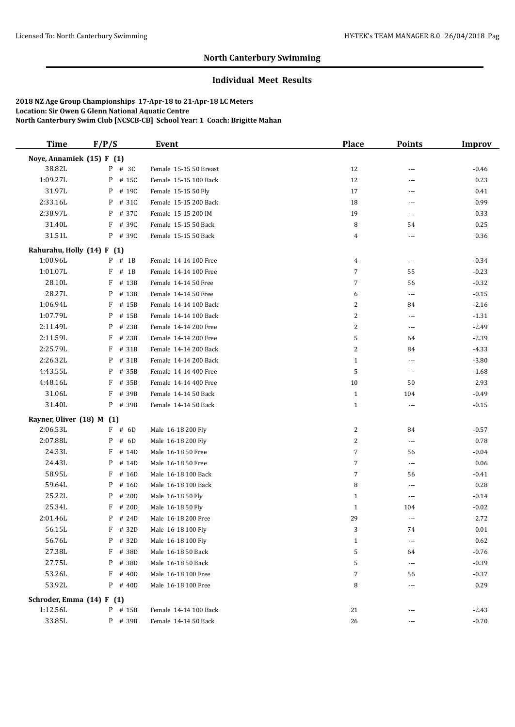# **North Canterbury Swimming**

# **Individual Meet Results**

**2018 NZ Age Group Championships 17-Apr-18 to 21-Apr-18 LC Meters Location: Sir Owen G Glenn National Aquatic Centre North Canterbury Swim Club [NCSCB-CB] School Year: 1 Coach: Brigitte Mahan**

| <b>Time</b>                | F/P/S      | <b>Event</b>           | <b>Place</b> | <b>Points</b>            | <b>Improv</b> |
|----------------------------|------------|------------------------|--------------|--------------------------|---------------|
| Noye, Annamiek (15) F (1)  |            |                        |              |                          |               |
| 38.82L                     | $P$ # 3C   | Female 15-15 50 Breast | 12           | ---                      | $-0.46$       |
| 1:09.27L                   | P # 15C    | Female 15-15 100 Back  | 12           | ---                      | 0.23          |
| 31.97L                     | P # 19C    | Female 15-15 50 Fly    | 17           | ---                      | 0.41          |
| 2:33.16L                   | P # 31C    | Female 15-15 200 Back  | 18           | $\overline{\phantom{a}}$ | 0.99          |
| 2:38.97L                   | P # 37C    | Female 15-15 200 IM    | 19           | ---                      | 0.33          |
| 31.40L                     | F # 39C    | Female 15-15 50 Back   | 8            | 54                       | 0.25          |
| 31.51L                     | P # 39C    | Female 15-15 50 Back   | 4            | $\overline{\phantom{a}}$ | 0.36          |
| Rahurahu, Holly (14) F (1) |            |                        |              |                          |               |
| 1:00.96L                   | $P$ # 1B   | Female 14-14 100 Free  | 4            | $\overline{\phantom{a}}$ | $-0.34$       |
| 1:01.07L                   | $F$ # 1B   | Female 14-14 100 Free  | 7            | 55                       | $-0.23$       |
| 28.10L                     | F<br># 13B | Female 14-14 50 Free   | 7            | 56                       | $-0.32$       |
| 28.27L                     | P # 13B    | Female 14-14 50 Free   | 6            | $\cdots$                 | $-0.15$       |
| 1:06.94L                   | F # 15B    | Female 14-14 100 Back  | 2            | 84                       | $-2.16$       |
| 1:07.79L                   | P # 15B    | Female 14-14 100 Back  | 2            | ---                      | $-1.31$       |
| 2:11.49L                   | P # 23B    | Female 14-14 200 Free  | 2            | $\cdots$                 | $-2.49$       |
| 2:11.59L                   | F # 23B    | Female 14-14 200 Free  | 5            | 64                       | $-2.39$       |
| 2:25.79L                   | F # 31B    | Female 14-14 200 Back  | 2            | 84                       | $-4.33$       |
| 2:26.32L                   | P<br># 31B | Female 14-14 200 Back  | $\mathbf{1}$ | ---                      | $-3.80$       |
| 4:43.55L                   | P<br># 35B | Female 14-14 400 Free  | 5            | ---                      | $-1.68$       |
| 4:48.16L                   | F<br># 35B | Female 14-14 400 Free  | 10           | 50                       | 2.93          |
| 31.06L                     | F<br># 39B | Female 14-14 50 Back   | $\mathbf{1}$ | 104                      | $-0.49$       |
| 31.40L                     | P # 39B    | Female 14-14 50 Back   | $\mathbf{1}$ | $\overline{\phantom{a}}$ | $-0.15$       |
| Rayner, Oliver (18) M (1)  |            |                        |              |                          |               |
| 2:06.53L                   | $F$ # 6D   | Male 16-18 200 Fly     | 2            | 84                       | $-0.57$       |
| 2:07.88L                   | P<br># 6D  | Male 16-18 200 Fly     | 2            | ---                      | 0.78          |
| 24.33L                     | $F$ # 14D  | Male 16-18 50 Free     | 7            | 56                       | $-0.04$       |
| 24.43L                     | P # 14D    | Male 16-18 50 Free     | 7            | $\scriptstyle\cdots$     | 0.06          |
| 58.95L                     | $F$ # 16D  | Male 16-18 100 Back    | 7            | 56                       | $-0.41$       |
| 59.64L                     | P<br># 16D | Male 16-18 100 Back    | 8            | $---$                    | 0.28          |
| 25.22L                     | # 20D<br>P | Male 16-18 50 Fly      | $\mathbf{1}$ | $\overline{\phantom{a}}$ | $-0.14$       |
| 25.34L                     | F<br># 20D | Male 16-18 50 Fly      | $\mathbf{1}$ | 104                      | $-0.02$       |
| 2:01.46L                   | $P$ # 24D  | Male 16-18 200 Free    | 29           | ---                      | 2.72          |
| 56.15L                     | $F$ # 32D  | Male 16-18 100 Fly     | 3            | 74                       | 0.01          |
| 56.76L                     | P # 32D    | Male 16-18 100 Fly     | $\mathbf{1}$ | $\overline{\phantom{a}}$ | 0.62          |
| 27.38L                     | F # 38D    | Male 16-18 50 Back     | 5            | 64                       | $-0.76$       |
| 27.75L                     | P # 38D    | Male 16-18 50 Back     | 5            | $---$                    | $-0.39$       |
| 53.26L                     | F<br># 40D | Male 16-18 100 Free    | 7            | 56                       | $-0.37$       |
| 53.92L                     | $P$ # 40D  | Male 16-18 100 Free    | 8            | ---                      | 0.29          |
| Schroder, Emma (14) F      | (1)        |                        |              |                          |               |
| 1:12.56L                   | P # 15B    | Female 14-14 100 Back  | 21           |                          | $-2.43$       |
| 33.85L                     | P # 39B    | Female 14-14 50 Back   | 26           | ---                      | $-0.70$       |